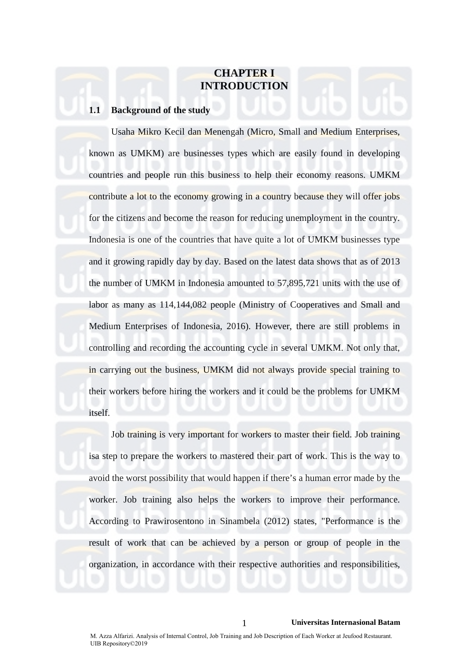# **CHAPTER I INTRODUCTION**

# **1.1 Background of the study**

Usaha Mikro Kecil dan Menengah (Micro, Small and Medium Enterprises, known as UMKM) are businesses types which are easily found in developing countries and people run this business to help their economy reasons. UMKM contribute a lot to the economy growing in a country because they will offer jobs for the citizens and become the reason for reducing unemployment in the country. Indonesia is one of the countries that have quite a lot of UMKM businesses type and it growing rapidly day by day. Based on the latest data shows that as of 2013 the number of UMKM in Indonesia amounted to 57,895,721 units with the use of labor as many as 114,144,082 people (Ministry of Cooperatives and Small and Medium Enterprises of Indonesia, 2016). However, there are still problems in controlling and recording the accounting cycle in several UMKM. Not only that, in carrying out the business, UMKM did not always provide special training to their workers before hiring the workers and it could be the problems for UMKM itself.

Job training is very important for workers to master their field. Job training isa step to prepare the workers to mastered their part of work. This is the way to avoid the worst possibility that would happen if there's a human error made by the worker. Job training also helps the workers to improve their performance. According to Prawirosentono in Sinambela (2012) states, "Performance is the result of work that can be achieved by a person or group of people in the organization, in accordance with their respective authorities and responsibilities,

1 **Universitas Internasional Batam**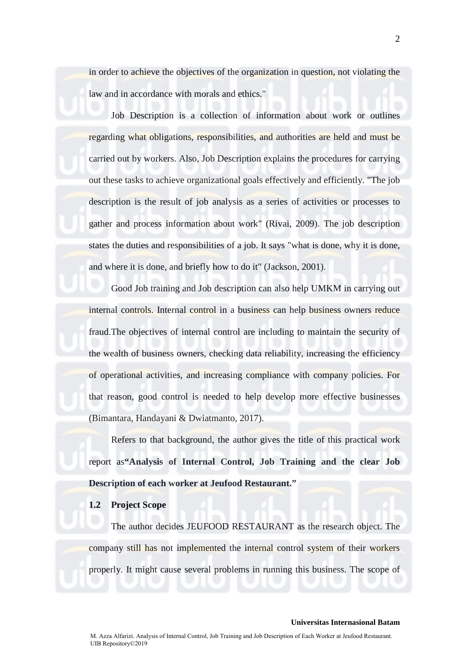in order to achieve the objectives of the organization in question, not violating the law and in accordance with morals and ethics."

Job Description is a collection of information about work or outlines regarding what obligations, responsibilities, and authorities are held and must be carried out by workers. Also, Job Description explains the procedures for carrying out these tasks to achieve organizational goals effectively and efficiently. "The job description is the result of job analysis as a series of activities or processes to gather and process information about work" (Rivai, 2009). The job description states the duties and responsibilities of a job. It says "what is done, why it is done, and where it is done, and briefly how to do it" (Jackson, 2001).

Good Job training and Job description can also help UMKM in carrying out internal controls. Internal control in a business can help business owners reduce fraud.The objectives of internal control are including to maintain the security of the wealth of business owners, checking data reliability, increasing the efficiency of operational activities, and increasing compliance with company policies. For that reason, good control is needed to help develop more effective businesses (Bimantara, Handayani & Dwiatmanto, 2017).

Refers to that background, the author gives the title of this practical work report as**"Analysis of Internal Control, Job Training and the clear Job Description of each worker at Jeufood Restaurant."**

### **1.2 Project Scope**

The author decides JEUFOOD RESTAURANT as the research object. The company still has not implemented the internal control system of their workers properly. It might cause several problems in running this business. The scope of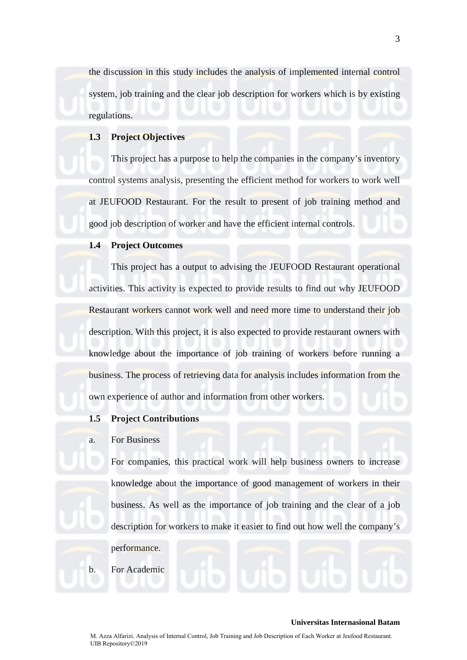the discussion in this study includes the analysis of implemented internal control system, job training and the clear job description for workers which is by existing regulations.

# **1.3 Project Objectives**

This project has a purpose to help the companies in the company's inventory control systems analysis, presenting the efficient method for workers to work well at JEUFOOD Restaurant. For the result to present of job training method and good job description of worker and have the efficient internal controls.

# **1.4 Project Outcomes**

This project has a output to advising the JEUFOOD Restaurant operational activities. This activity is expected to provide results to find out why JEUFOOD Restaurant workers cannot work well and need more time to understand their job description. With this project, it is also expected to provide restaurant owners with knowledge about the importance of job training of workers before running a business. The process of retrieving data for analysis includes information from the own experience of author and information from other workers.

### **1.5 Project Contributions**

# a. For Business

For companies, this practical work will help business owners to increase knowledge about the importance of good management of workers in their business. As well as the importance of job training and the clear of a job description for workers to make it easier to find out how well the company's

performance.

b. For Academic

#### **Universitas Internasional Batam**

3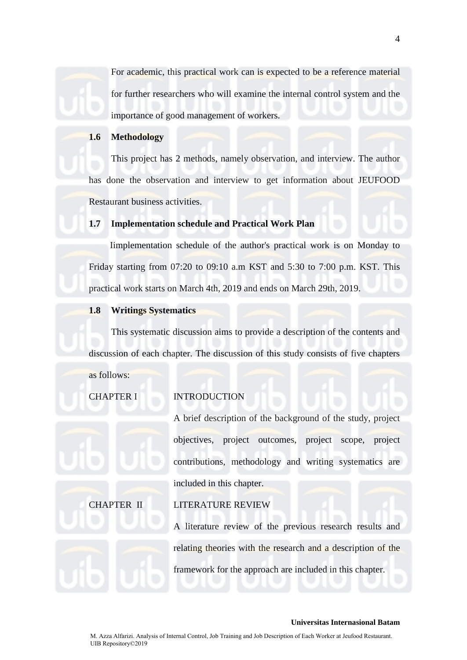For academic, this practical work can is expected to be a reference material for further researchers who will examine the internal control system and the importance of good management of workers.

# **1.6 Methodology**

This project has 2 methods, namely observation, and interview. The author has done the observation and interview to get information about JEUFOOD Restaurant business activities.

# **1.7 Implementation schedule and Practical Work Plan**

Iimplementation schedule of the author's practical work is on Monday to Friday starting from 07:20 to 09:10 a.m KST and 5:30 to 7:00 p.m. KST. This practical work starts on March 4th, 2019 and ends on March 29th, 2019.

### **1.8 Writings Systematics**

This systematic discussion aims to provide a description of the contents and discussion of each chapter. The discussion of this study consists of five chapters

as follows:

### CHAPTER I INTRODUCTION

A brief description of the background of the study, project objectives, project outcomes, project scope, project contributions, methodology and writing systematics are included in this chapter.

# CHAPTER II LITERATURE REVIEW

A literature review of the previous research results and relating theories with the research and a description of the framework for the approach are included in this chapter.